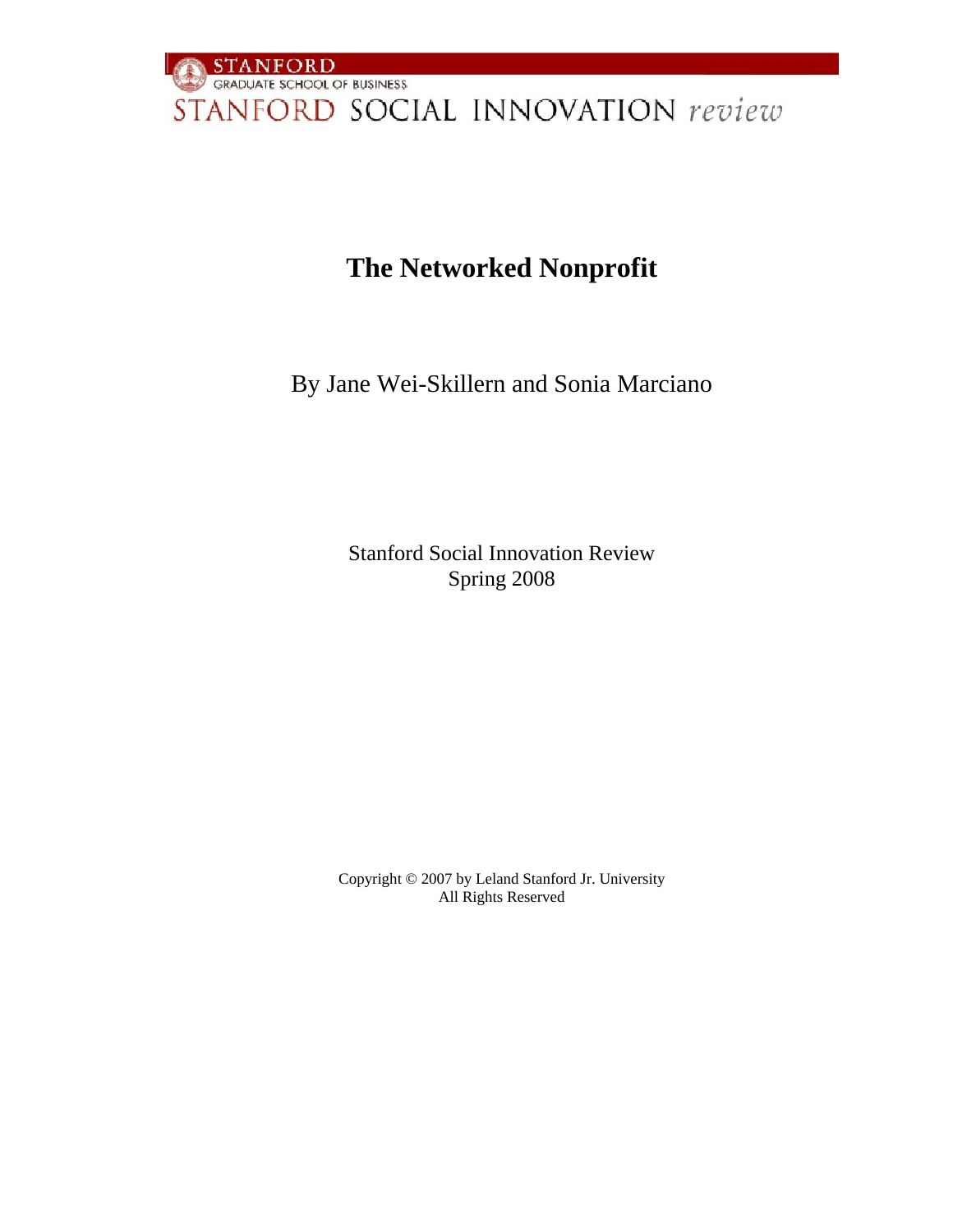

## **The Networked Nonprofit**

By Jane Wei-Skillern and Sonia Marciano

Stanford Social Innovation Review Spring 2008

Copyright © 2007 by Leland Stanford Jr. University All Rights Reserved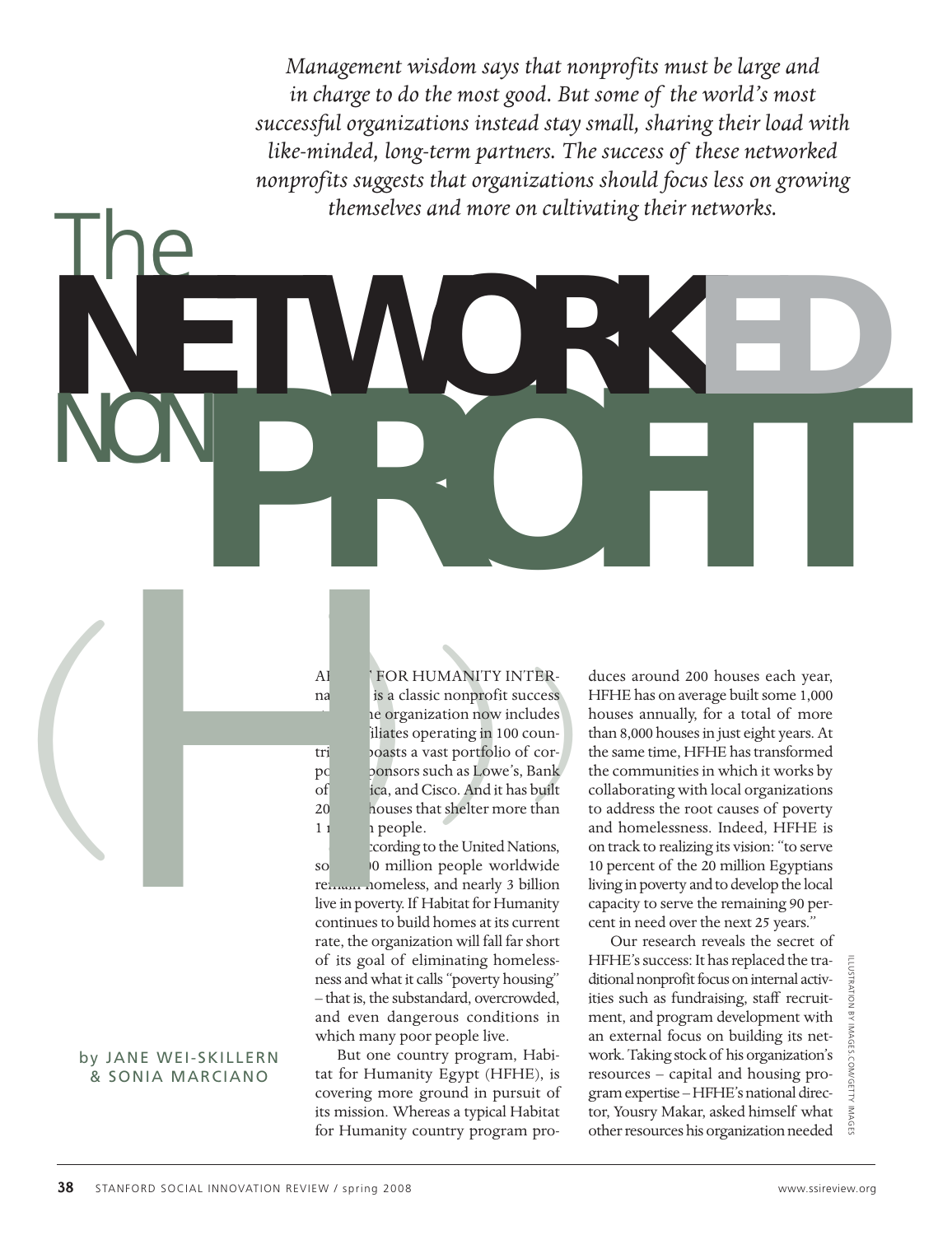*Management wisdom says that nonprofits must be large and in charge to do the most good. But some of the world's most successful organizations instead stay small, sharing their load with like-minded, long-term partners. The success of these networked nonprofits suggests that organizations should focus less on growing themselves and more on cultivating their networks.*

# **PROFIT** The Memselves and more on cultivating their networks. H

ABITAT FOR HUMANITY INTER-<br>ABITAT FOR HUMANITY INTER-<br>aational is a classic nonprofit success<br>tory. The organization now includes<br>.,100 affiliates operating in 100 coun-<br>ries. It boasts a vast portfolio of cor-<br>orate spons ABITAT FOR HUMANITY INTERnational is a classic nonprofit success story. The organization now includes 2,100 affiliates operating in 100 countries. It boasts a vast portfolio of corporate sponsors such as Lowe's, Bank of America, and Cisco. And it has built 200,000 houses that shelter more than 1 million people.

Yet according to the United Nations, some 100 million people worldwide remain homeless, and nearly 3 billion live in poverty. If Habitat for Humanity continues to build homes at its current rate, the organization will fall far short of its goal of eliminating homelessness and what it calls "poverty housing" – that is, the substandard, overcrowded, and even dangerous conditions in which many poor people live.

But one country program, Habitat for Humanity Egypt (HFHE), is covering more ground in pursuit of its mission. Whereas a typical Habitat for Humanity country program produces around 200 houses each year, HFHE has on average built some 1,000 houses annually, for a total of more than 8,000 houses in just eight years. At the same time, HFHE has transformed the communities in which it works by collaborating with local organizations to address the root causes of poverty and homelessness. Indeed, HFHE is on track to realizing its vision: "to serve 10 percent of the 20 million Egyptians living in poverty and to develop the local capacity to serve the remaining 90 percent in need over the next 25 years."

Our research reveals the secret of HFHE's success: It has replaced the traditional nonprofit focus on internal activities such as fundraising, staff recruitment, and program development with an external focus on building its network. Taking stock of his organization's resources – capital and housing program expertise – HFHE's national director, Yousry Makar, asked himself what other resources his organization needed

by JANE WEI-SKILLERN & SONIA MARCIANO

 $\bigg($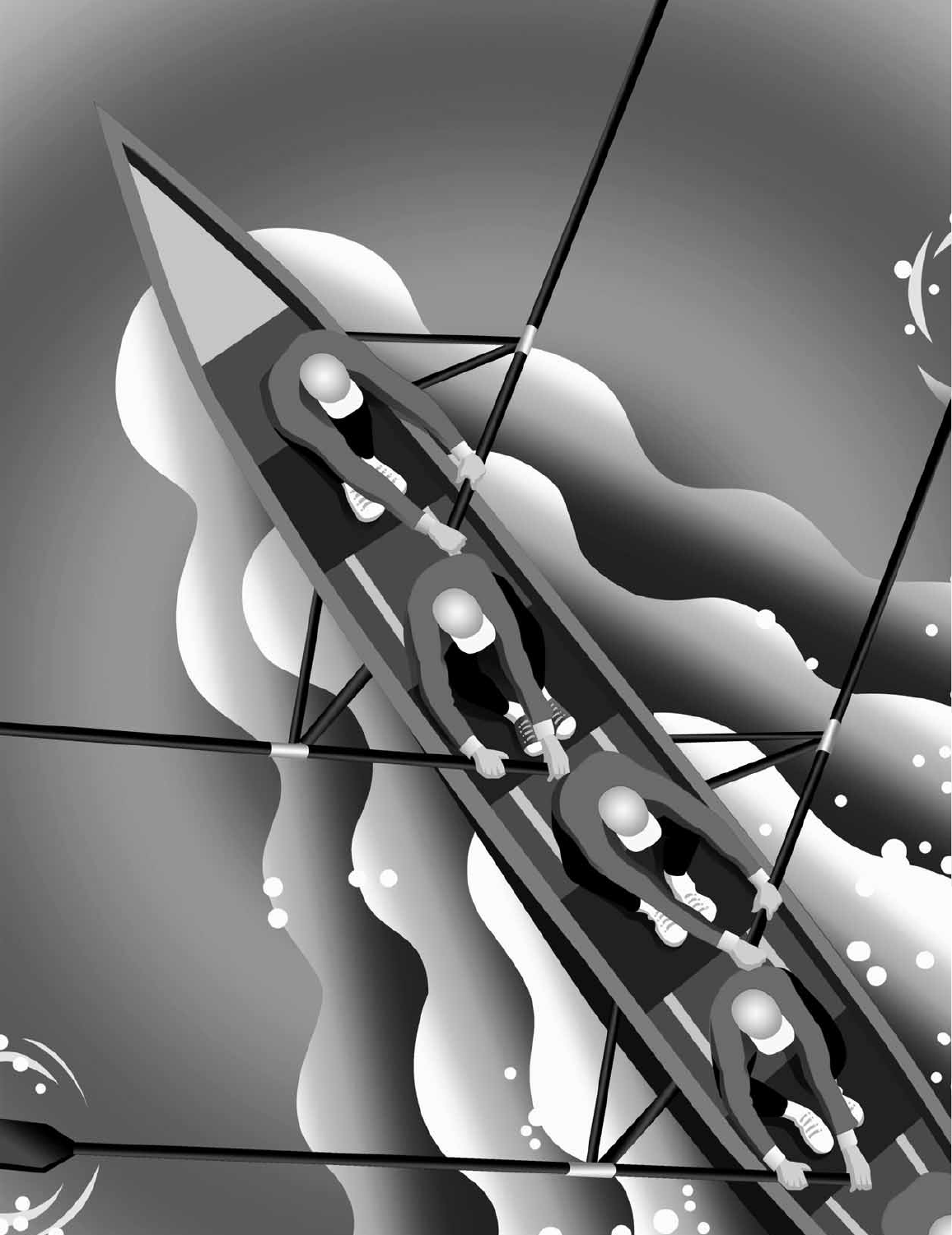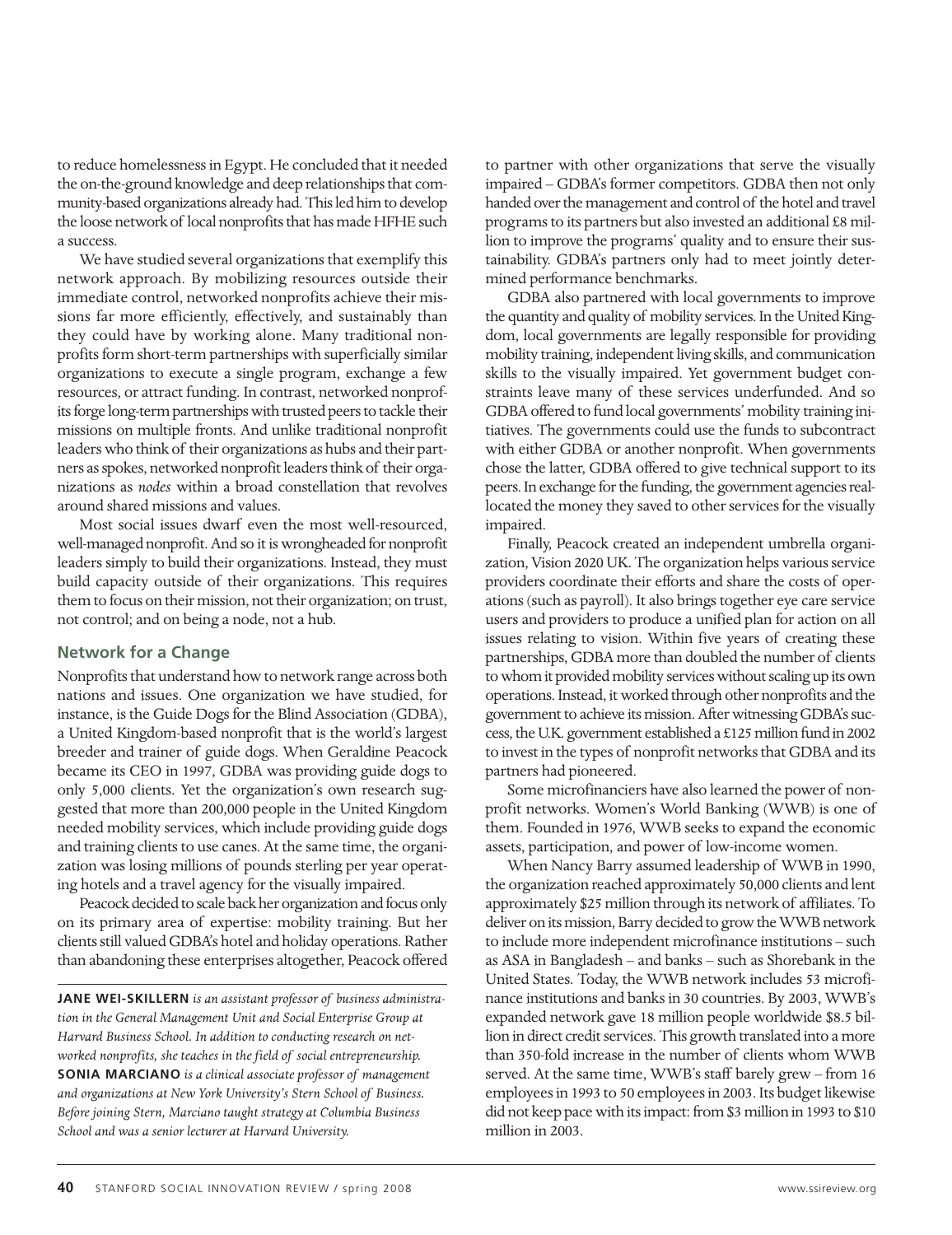to reduce homelessness in Egypt. He concluded that it needed the on-the-ground knowledge and deep relationships that community-based organizations already had. This led him to develop the loose network of local nonprofits that has made HFHE such a success.

We have studied several organizations that exemplify this network approach. By mobilizing resources outside their immediate control, networked nonprofits achieve their missions far more efficiently, effectively, and sustainably than they could have by working alone. Many traditional nonprofits form short-term partnerships with superficially similar organizations to execute a single program, exchange a few resources, or attract funding. In contrast, networked nonprofits forge long-term partnerships with trusted peers to tackle their missions on multiple fronts. And unlike traditional nonprofit leaders who think of their organizations as hubs and their partners as spokes, networked nonprofit leaders think of their organizations as *nodes* within a broad constellation that revolves around shared missions and values.

Most social issues dwarf even the most well-resourced, well-managed nonprofit. And so it is wrongheaded for nonprofit leaders simply to build their organizations. Instead, they must build capacity outside of their organizations. This requires them to focus on their mission, not their organization; on trust, not control; and on being a node, not a hub.

### **Network for a Change**

Nonprofits that understand how to network range across both nations and issues. One organization we have studied, for instance, is the Guide Dogs for the Blind Association (GDBA), a United Kingdom-based nonprofit that is the world's largest breeder and trainer of guide dogs. When Geraldine Peacock became its CEO in 1997, GDBA was providing guide dogs to only 5,000 clients. Yet the organization's own research suggested that more than 200,000 people in the United Kingdom needed mobility services, which include providing guide dogs and training clients to use canes. At the same time, the organization was losing millions of pounds sterling per year operating hotels and a travel agency for the visually impaired.

Peacock decided to scale back her organization and focus only on its primary area of expertise: mobility training. But her clients still valued GDBA's hotel and holiday operations. Rather than abandoning these enterprises altogether, Peacock offered

**JANE WEI-SKILLERN** *is an assistant professor of business administration in the General Management Unit and Social Enterprise Group at Harvard Business School. In addition to conducting research on networked nonprofits, she teaches in the field of social entrepreneurship.* **SONIA MARCIANO** *is a clinical associate professor of management and organizations at New York University's Stern School of Business. Before joining Stern, Marciano taught strategy at Columbia Business School and was a senior lecturer at Harvard University.*

to partner with other organizations that serve the visually impaired – GDBA's former competitors. GDBA then not only handed over the management and control of the hotel and travel programs to its partners but also invested an additional £8 million to improve the programs' quality and to ensure their sustainability. GDBA's partners only had to meet jointly determined performance benchmarks.

GDBA also partnered with local governments to improve the quantity and quality of mobility services. In the United Kingdom, local governments are legally responsible for providing mobility training, independent living skills, and communication skills to the visually impaired. Yet government budget constraints leave many of these services underfunded. And so GDBA offered to fund local governments' mobility training initiatives. The governments could use the funds to subcontract with either GDBA or another nonprofit. When governments chose the latter, GDBA offered to give technical support to its peers. In exchange for the funding, the government agencies reallocated the money they saved to other services for the visually impaired.

Finally, Peacock created an independent umbrella organization, Vision 2020 UK. The organization helps various service providers coordinate their efforts and share the costs of operations (such as payroll). It also brings together eye care service users and providers to produce a unified plan for action on all issues relating to vision. Within five years of creating these partnerships, GDBA more than doubled the number of clients to whom it provided mobility services without scaling up its own operations. Instead, it worked through other nonprofits and the government to achieve its mission. After witnessing GDBA's success, the U.K. government established a £125 million fund in 2002 to invest in the types of nonprofit networks that GDBA and its partners had pioneered.

Some microfinanciers have also learned the power of nonprofit networks. Women's World Banking (WWB) is one of them. Founded in 1976, WWB seeks to expand the economic assets, participation, and power of low-income women.

When Nancy Barry assumed leadership of WWB in 1990, the organization reached approximately 50,000 clients and lent approximately \$25 million through its network of affiliates. To deliver on its mission, Barry decided to grow the WWB network to include more independent microfinance institutions – such as ASA in Bangladesh – and banks – such as Shorebank in the United States. Today, the WWB network includes 53 microfinance institutions and banks in 30 countries. By 2003, WWB's expanded network gave 18 million people worldwide \$8.5 billion in direct credit services. This growth translated into a more than 350-fold increase in the number of clients whom WWB served. At the same time, WWB's staff barely grew – from 16 employees in 1993 to 50 employees in 2003. Its budget likewise did not keep pace with its impact: from \$3 million in 1993 to \$10 million in 2003.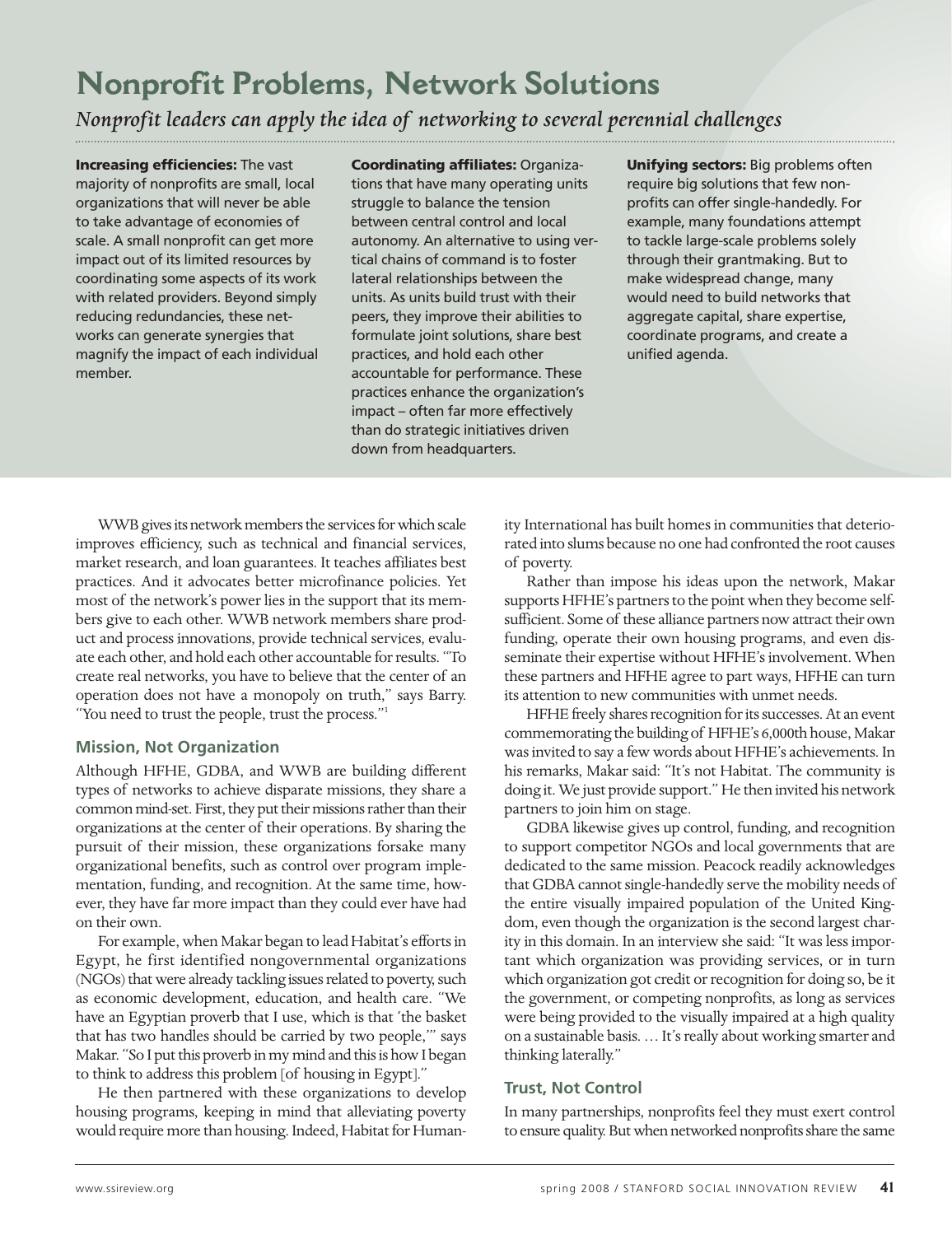# **Nonprofit Problems, Network Solutions**

*Nonprofit leaders can apply the idea of networking to several perennial challenges*

**Increasing efficiencies:** The vast majority of nonprofits are small, local organizations that will never be able to take advantage of economies of scale. A small nonprofit can get more impact out of its limited resources by coordinating some aspects of its work with related providers. Beyond simply reducing redundancies, these networks can generate synergies that magnify the impact of each individual member.

**Coordinating affiliates:** Organizations that have many operating units struggle to balance the tension between central control and local autonomy. An alternative to using vertical chains of command is to foster lateral relationships between the units. As units build trust with their peers, they improve their abilities to formulate joint solutions, share best practices, and hold each other accountable for performance. These practices enhance the organization's impact – often far more effectively than do strategic initiatives driven down from headquarters.

**Unifying sectors:** Big problems often require big solutions that few nonprofits can offer single-handedly. For example, many foundations attempt to tackle large-scale problems solely through their grantmaking. But to make widespread change, many would need to build networks that aggregate capital, share expertise, coordinate programs, and create a unified agenda.

WWB gives its network members the services for which scale improves efficiency, such as technical and financial services, market research, and loan guarantees. It teaches affiliates best practices. And it advocates better microfinance policies. Yet most of the network's power lies in the support that its members give to each other. WWB network members share product and process innovations, provide technical services, evaluate each other, and hold each other accountable for results. "To create real networks, you have to believe that the center of an operation does not have a monopoly on truth," says Barry. "You need to trust the people, trust the process."<sup>1</sup>

### **Mission, Not Organization**

Although HFHE, GDBA, and WWB are building different types of networks to achieve disparate missions, they share a common mind-set. First, they put their missions rather than their organizations at the center of their operations. By sharing the pursuit of their mission, these organizations forsake many organizational benefits, such as control over program implementation, funding, and recognition. At the same time, however, they have far more impact than they could ever have had on their own.

For example, when Makar began to lead Habitat's efforts in Egypt, he first identified nongovernmental organizations (NGOs) that were already tackling issues related to poverty, such as economic development, education, and health care. "We have an Egyptian proverb that I use, which is that 'the basket that has two handles should be carried by two people,'" says Makar. "So I put this proverb in my mind and this is how I began to think to address this problem [of housing in Egypt]."

He then partnered with these organizations to develop housing programs, keeping in mind that alleviating poverty would require more than housing. Indeed, Habitat for Humanity International has built homes in communities that deteriorated into slums because no one had confronted the root causes of poverty.

Rather than impose his ideas upon the network, Makar supports HFHE's partners to the point when they become selfsufficient. Some of these alliance partners now attract their own funding, operate their own housing programs, and even disseminate their expertise without HFHE's involvement. When these partners and HFHE agree to part ways, HFHE can turn its attention to new communities with unmet needs.

HFHE freely shares recognition for its successes. At an event commemorating the building of HFHE's 6,000th house, Makar was invited to say a few words about HFHE's achievements. In his remarks, Makar said: "It's not Habitat. The community is doing it. We just provide support." He then invited his network partners to join him on stage.

GDBA likewise gives up control, funding, and recognition to support competitor NGOs and local governments that are dedicated to the same mission. Peacock readily acknowledges that GDBA cannot single-handedly serve the mobility needs of the entire visually impaired population of the United Kingdom, even though the organization is the second largest charity in this domain. In an interview she said: "It was less important which organization was providing services, or in turn which organization got credit or recognition for doing so, be it the government, or competing nonprofits, as long as services were being provided to the visually impaired at a high quality on a sustainable basis. … It's really about working smarter and thinking laterally."

### **Trust, Not Control**

In many partnerships, nonprofits feel they must exert control to ensure quality. But when networked nonprofits share the same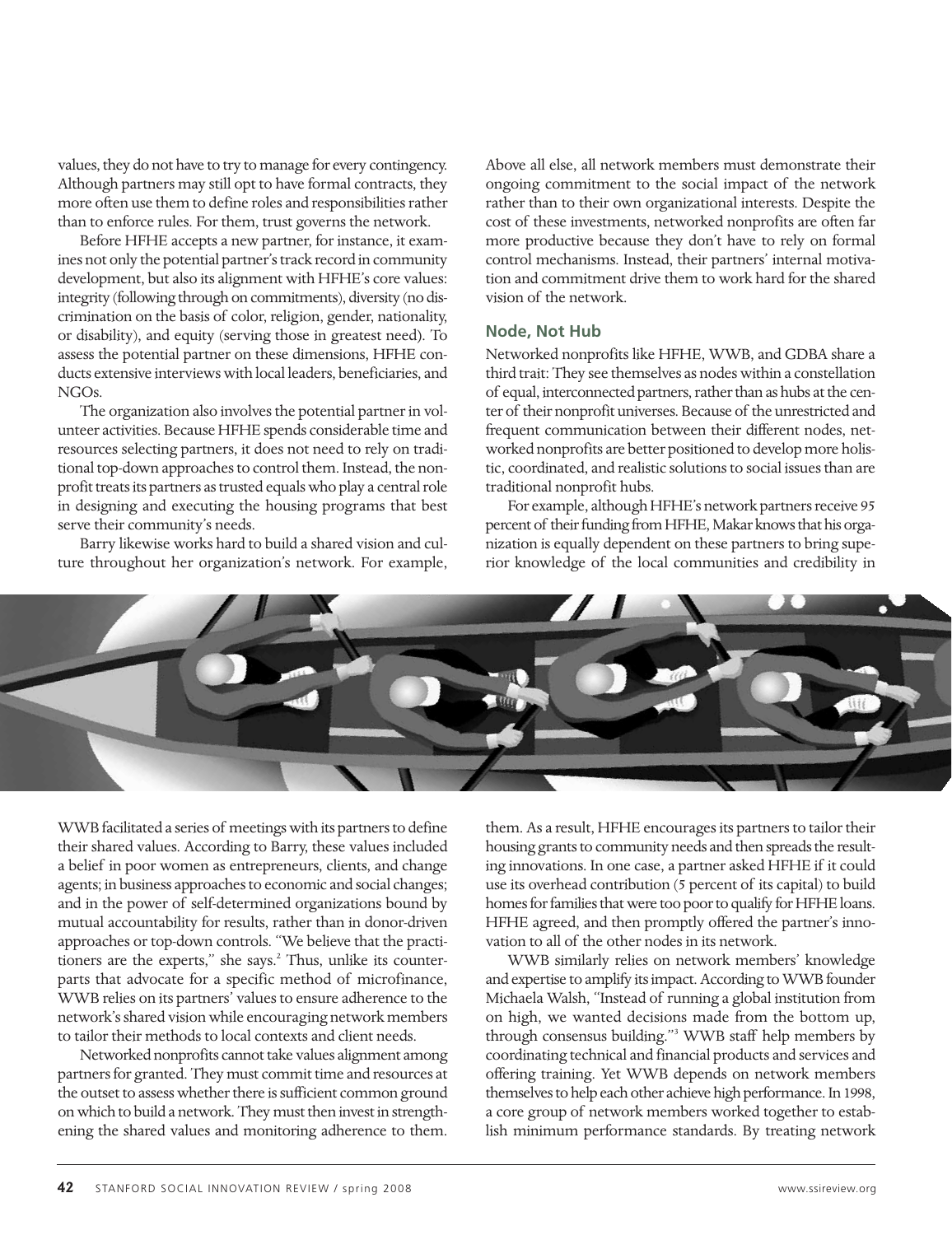values, they do not have to try to manage for every contingency. Although partners may still opt to have formal contracts, they more often use them to define roles and responsibilities rather than to enforce rules. For them, trust governs the network.

Before HFHE accepts a new partner, for instance, it examines not only the potential partner's track record in community development, but also its alignment with HFHE's core values: integrity (following through on commitments), diversity (no discrimination on the basis of color, religion, gender, nationality, or disability), and equity (serving those in greatest need**)**. To assess the potential partner on these dimensions, HFHE conducts extensive interviews with local leaders, beneficiaries, and NGOs.

The organization also involves the potential partner in volunteer activities. Because HFHE spends considerable time and resources selecting partners, it does not need to rely on traditional top-down approaches to control them. Instead, the nonprofit treats its partners as trusted equals who play a central role in designing and executing the housing programs that best serve their community's needs.

Barry likewise works hard to build a shared vision and culture throughout her organization's network. For example, Above all else, all network members must demonstrate their ongoing commitment to the social impact of the network rather than to their own organizational interests. Despite the cost of these investments, networked nonprofits are often far more productive because they don't have to rely on formal control mechanisms. Instead, their partners' internal motivation and commitment drive them to work hard for the shared vision of the network.

### **Node, Not Hub**

Networked nonprofits like HFHE, WWB, and GDBA share a third trait: They see themselves as nodes within a constellation of equal, interconnected partners, rather than as hubs at the center of their nonprofit universes. Because of the unrestricted and frequent communication between their different nodes, networked nonprofits are better positioned to develop more holistic, coordinated, and realistic solutions to social issues than are traditional nonprofit hubs.

For example, although HFHE's network partners receive 95 percent of their funding from HFHE, Makar knows that his organization is equally dependent on these partners to bring superior knowledge of the local communities and credibility in



WWB facilitated a series of meetings with its partners to define their shared values. According to Barry, these values included a belief in poor women as entrepreneurs, clients, and change agents; in business approaches to economic and social changes; and in the power of self-determined organizations bound by mutual accountability for results, rather than in donor-driven approaches or top-down controls. "We believe that the practitioners are the experts," she says.<sup>2</sup> Thus, unlike its counterparts that advocate for a specific method of microfinance, WWB relies on its partners' values to ensure adherence to the network's shared vision while encouraging network members to tailor their methods to local contexts and client needs.

Networked nonprofits cannot take values alignment among partners for granted. They must commit time and resources at the outset to assess whether there is sufficient common ground on which to build a network. They must then invest in strengthening the shared values and monitoring adherence to them.

them. As a result, HFHE encourages its partners to tailor their housing grants to community needs and then spreads the resulting innovations. In one case, a partner asked HFHE if it could use its overhead contribution (5 percent of its capital) to build homes for families that were too poor to qualify for HFHE loans. HFHE agreed, and then promptly offered the partner's innovation to all of the other nodes in its network.

WWB similarly relies on network members' knowledge and expertise to amplify its impact. According to WWB founder Michaela Walsh, "Instead of running a global institution from on high, we wanted decisions made from the bottom up, through consensus building."3 WWB staff help members by coordinating technical and financial products and services and offering training. Yet WWB depends on network members themselves to help each other achieve high performance. In 1998, a core group of network members worked together to establish minimum performance standards. By treating network